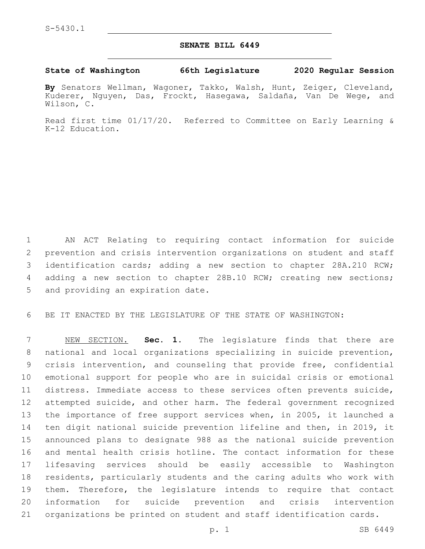## **SENATE BILL 6449**

## **State of Washington 66th Legislature 2020 Regular Session**

**By** Senators Wellman, Wagoner, Takko, Walsh, Hunt, Zeiger, Cleveland, Kuderer, Nguyen, Das, Frockt, Hasegawa, Saldaña, Van De Wege, and Wilson, C.

Read first time 01/17/20. Referred to Committee on Early Learning & K-12 Education.

 AN ACT Relating to requiring contact information for suicide prevention and crisis intervention organizations on student and staff identification cards; adding a new section to chapter 28A.210 RCW; adding a new section to chapter 28B.10 RCW; creating new sections; 5 and providing an expiration date.

BE IT ENACTED BY THE LEGISLATURE OF THE STATE OF WASHINGTON:

 NEW SECTION. **Sec. 1.** The legislature finds that there are national and local organizations specializing in suicide prevention, crisis intervention, and counseling that provide free, confidential emotional support for people who are in suicidal crisis or emotional distress. Immediate access to these services often prevents suicide, attempted suicide, and other harm. The federal government recognized the importance of free support services when, in 2005, it launched a ten digit national suicide prevention lifeline and then, in 2019, it announced plans to designate 988 as the national suicide prevention and mental health crisis hotline. The contact information for these lifesaving services should be easily accessible to Washington residents, particularly students and the caring adults who work with them. Therefore, the legislature intends to require that contact information for suicide prevention and crisis intervention organizations be printed on student and staff identification cards.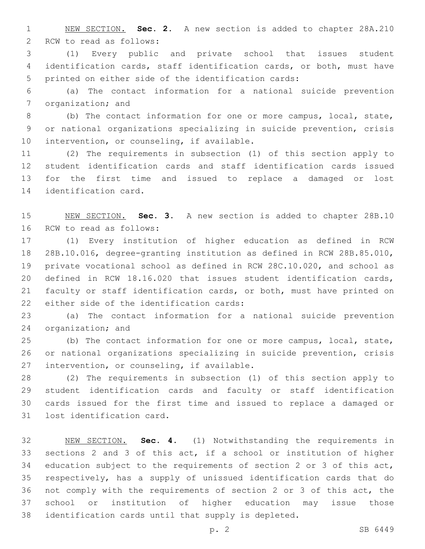NEW SECTION. **Sec. 2.** A new section is added to chapter 28A.210 2 RCW to read as follows:

 (1) Every public and private school that issues student identification cards, staff identification cards, or both, must have printed on either side of the identification cards:

 (a) The contact information for a national suicide prevention 7 organization; and

 (b) The contact information for one or more campus, local, state, or national organizations specializing in suicide prevention, crisis 10 intervention, or counseling, if available.

 (2) The requirements in subsection (1) of this section apply to student identification cards and staff identification cards issued for the first time and issued to replace a damaged or lost 14 identification card.

 NEW SECTION. **Sec. 3.** A new section is added to chapter 28B.10 16 RCW to read as follows:

 (1) Every institution of higher education as defined in RCW 28B.10.016, degree-granting institution as defined in RCW 28B.85.010, private vocational school as defined in RCW 28C.10.020, and school as defined in RCW 18.16.020 that issues student identification cards, faculty or staff identification cards, or both, must have printed on 22 either side of the identification cards:

 (a) The contact information for a national suicide prevention 24 organization; and

 (b) The contact information for one or more campus, local, state, or national organizations specializing in suicide prevention, crisis 27 intervention, or counseling, if available.

 (2) The requirements in subsection (1) of this section apply to student identification cards and faculty or staff identification cards issued for the first time and issued to replace a damaged or 31 lost identification card.

 NEW SECTION. **Sec. 4.** (1) Notwithstanding the requirements in sections 2 and 3 of this act, if a school or institution of higher education subject to the requirements of section 2 or 3 of this act, respectively, has a supply of unissued identification cards that do not comply with the requirements of section 2 or 3 of this act, the school or institution of higher education may issue those identification cards until that supply is depleted.